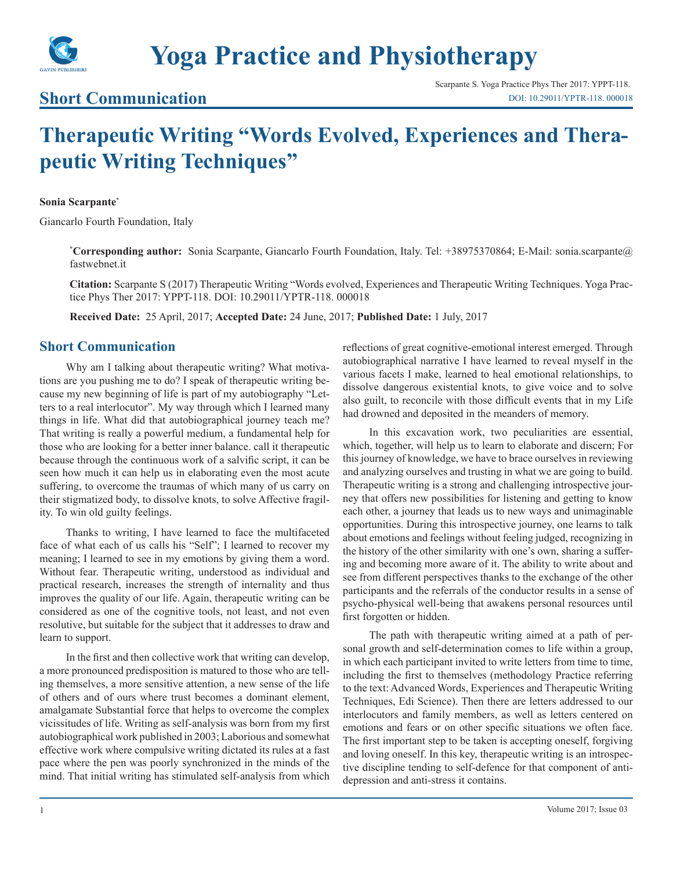

# **Yoga Practice and Physiotherapy**

### **Short Communication**

## **Therapeutic Writing "Words Evolved, Experiences and Therapeutic Writing Techniques"**

#### **Sonia Scarpante\***

Giancarlo Fourth Foundation, Italy

**\* Corresponding author:** Sonia Scarpante, Giancarlo Fourth Foundation, Italy. Tel: +38975370864; E-Mail: sonia.scarpante@ fastwebnet.it

**Citation:** Scarpante S (2017) Therapeutic Writing "Words evolved, Experiences and Therapeutic Writing Techniques. Yoga Practice Phys Ther 2017: YPPT-118. DOI: 10.29011/YPTR-118. 000018

**Received Date:** 25 April, 2017; **Accepted Date:** 24 June, 2017; **Published Date:** 1 July, 2017

### **Short Communication**

Why am I talking about therapeutic writing? What motivations are you pushing me to do? I speak of therapeutic writing because my new beginning of life is part of my autobiography "Letters to a real interlocutor". My way through which I learned many things in life. What did that autobiographical journey teach me? That writing is really a powerful medium, a fundamental help for those who are looking for a better inner balance. call it therapeutic because through the continuous work of a salvific script, it can be seen how much it can help us in elaborating even the most acute suffering, to overcome the traumas of which many of us carry on their stigmatized body, to dissolve knots, to solve Affective fragility. To win old guilty feelings.

Thanks to writing, I have learned to face the multifaceted face of what each of us calls his "Self"; I learned to recover my meaning; I learned to see in my emotions by giving them a word. Without fear. Therapeutic writing, understood as individual and practical research, increases the strength of internality and thus improves the quality of our life. Again, therapeutic writing can be considered as one of the cognitive tools, not least, and not even resolutive, but suitable for the subject that it addresses to draw and learn to support.

In the first and then collective work that writing can develop, a more pronounced predisposition is matured to those who are telling themselves, a more sensitive attention, a new sense of the life of others and of ours where trust becomes a dominant element, amalgamate Substantial force that helps to overcome the complex vicissitudes of life. Writing as self-analysis was born from my first autobiographical work published in 2003; Laborious and somewhat effective work where compulsive writing dictated its rules at a fast pace where the pen was poorly synchronized in the minds of the mind. That initial writing has stimulated self-analysis from which

reflections of great cognitive-emotional interest emerged. Through autobiographical narrative I have learned to reveal myself in the various facets I make, learned to heal emotional relationships, to dissolve dangerous existential knots, to give voice and to solve also guilt, to reconcile with those difficult events that in my Life had drowned and deposited in the meanders of memory.

In this excavation work, two peculiarities are essential, which, together, will help us to learn to elaborate and discern; For this journey of knowledge, we have to brace ourselves in reviewing and analyzing ourselves and trusting in what we are going to build. Therapeutic writing is a strong and challenging introspective journey that offers new possibilities for listening and getting to know each other, a journey that leads us to new ways and unimaginable opportunities. During this introspective journey, one learns to talk about emotions and feelings without feeling judged, recognizing in the history of the other similarity with one's own, sharing a suffering and becoming more aware of it. The ability to write about and see from different perspectives thanks to the exchange of the other participants and the referrals of the conductor results in a sense of psycho-physical well-being that awakens personal resources until first forgotten or hidden.

The path with therapeutic writing aimed at a path of personal growth and self-determination comes to life within a group, in which each participant invited to write letters from time to time, including the first to themselves (methodology Practice referring to the text: Advanced Words, Experiences and Therapeutic Writing Techniques, Edi Science). Then there are letters addressed to our interlocutors and family members, as well as letters centered on emotions and fears or on other specific situations we often face. The first important step to be taken is accepting oneself, forgiving and loving oneself. In this key, therapeutic writing is an introspective discipline tending to self-defence for that component of antidepression and anti-stress it contains.